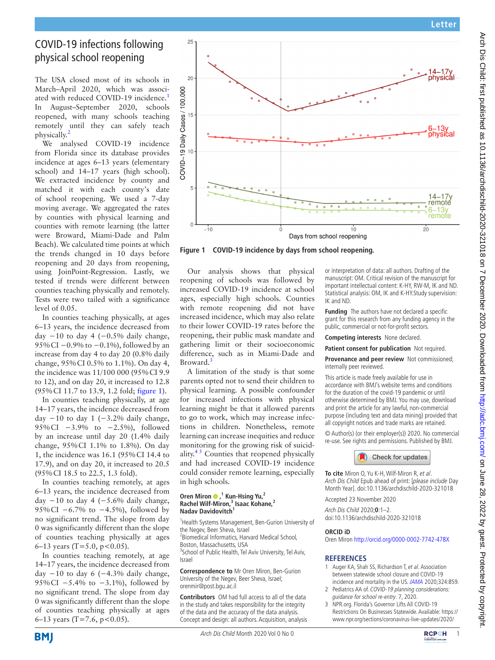# Arch Dis Child: first published as 10.1136/archdischild-2020-321018 on 7 December 2020. Downloaded from http://adc.bmj.com/ on June 28, 2022 by guest. Protected by copyright Arch Dis Child: first published as 10.1136/archdischild-2020-9210 be beember 2020. Downloaded from lom June 28, 2022. Dy guest. Protected by copyright.

# COVID-19 infections following physical school reopening

The USA closed most of its schools in March–April 2020, which was associ-ated with reduced COVID-[1](#page-0-0)9 incidence.<sup>1</sup> In August–September 2020, schools reopened, with many schools teaching remotely until they can safely teach physically[.2](#page-0-1)

We analysed COVID-19 incidence from Florida since its database provides incidence at ages 6–13 years (elementary school) and 14–17 years (high school). We extracted incidence by county and matched it with each county's date of school reopening. We used a 7-day moving average. We aggregated the rates by counties with physical learning and counties with remote learning (the latter were Broward, Miami-Dade and Palm Beach). We calculated time points at which the trends changed in 10 days before reopening and 20 days from reopening, using JoinPoint-Regression. Lastly, we tested if trends were different between counties teaching physically and remotely. Tests were two tailed with a significance level of 0.05.

In counties teaching physically, at ages 6–13 years, the incidence decreased from day  $-10$  to day 4 ( $-0.5\%$  daily change, 95% CI −0.9% to −0.1%), followed by an increase from day 4 to day 20 (0.8% daily change, 95%CI 0.5% to 1.1%). On day 4, the incidence was 11/100 000 (95%CI 9.9 to 12), and on day 20, it increased to 12.8 (95%CI 11.7 to 13.9, 1.2 fold; [figure](#page-0-2) 1).

In counties teaching physically, at age 14–17 years, the incidence decreased from day  $-10$  to day 1 ( $-3.2\%$  daily change, 95%CI −3.9% to −2.5%), followed by an increase until day 20 (1.4% daily change, 95%CI 1.1% to 1.8%). On day 1, the incidence was 16.1 (95%CI 14.4 to 17.9), and on day 20, it increased to 20.5 (95%CI 18.5 to 22.5, 1.3 fold).

In counties teaching remotely, at ages 6–13 years, the incidence decreased from day  $-10$  to day 4 ( $-5.6\%$  daily change, 95%CI −6.7% to −4.5%), followed by no significant trend. The slope from day 0 was significantly different than the slope of counties teaching physically at ages 6–13 years (T=5.0, p<0.05).

In counties teaching remotely, at age 14–17 years, the incidence decreased from day  $-10$  to day 6 ( $-4.3\%$  daily change, 95%CI −5.4% to −3.1%), followed by no significant trend. The slope from day 0 was significantly different than the slope of counties teaching physically at ages 6–13 years (T=7.6,  $p < 0.05$ ).



<span id="page-0-2"></span>**Figure 1 COVID-19 incidence by days from school reopening.**

Our analysis shows that physical reopening of schools was followed by increased COVID-19 incidence at school ages, especially high schools. Counties with remote reopening did not have increased incidence, which may also relate to their lower COVID-19 rates before the reopening, their public mask mandate and gathering limit or their socioeconomic difference, such as in Miami-Dade and Broward.<sup>[3](#page-0-3)</sup>

A limitation of the study is that some parents opted not to send their children to physical learning. A possible confounder for increased infections with physical learning might be that it allowed parents to go to work, which may increase infections in children. Nonetheless, remote learning can increase inequities and reduce monitoring for the growing risk of suicidality. $4<sup>5</sup>$  Counties that reopened physically and had increased COVID-19 incidence could consider remote learning, especially in high schools.

### **Oren Miron @,<sup>1</sup> Kun-Hsing Yu,<sup>2</sup> Rachel Wilf-Miron,3 Isaac Kohane,2 Nadav Davidovitch1**

<sup>1</sup> Health Systems Management, Ben-Gurion University of the Negev, Beer Sheva, Israel

<sup>2</sup> Biomedical Informatics, Harvard Medical School, Boston, Massachusetts, USA

<sup>3</sup> School of Public Health, Tel Aviv University, Tel Aviv, Israel

**Correspondence to** Mr Oren Miron, Ben-Gurion University of the Negev, Beer Sheva, Israel; orenmir@post.bgu.ac.il

**Contributors** OM had full access to all of the data in the study and takes responsibility for the integrity of the data and the accuracy of the data analysis. Concept and design: all authors. Acquisition, analysis or interpretation of data: all authors. Drafting of the manuscript: OM. Critical revision of the manuscript for important intellectual content: K-HY, RW-M, IK and ND. Statistical analysis: OM, IK and K-HY.Study supervision: IK and ND.

**Funding** The authors have not declared a specific grant for this research from any funding agency in the public, commercial or not-for-profit sectors.

**Competing interests** None declared.

**Patient consent for publication** Not required.

**Provenance and peer review** Not commissioned; internally peer reviewed.

This article is made freely available for use in accordance with BMJ's website terms and conditions for the duration of the covid-19 pandemic or until otherwise determined by BMJ. You may use, download and print the article for any lawful, non-commercial purpose (including text and data mining) provided that all copyright notices and trade marks are retained.

© Author(s) (or their employer(s)) 2020. No commercial re-use. See rights and permissions. Published by BMJ.



**To cite** Miron O, Yu K-H, Wilf-Miron R, et al. Arch Dis Child Epub ahead of print: [please include Day Month Year]. doi:10.1136/archdischild-2020-321018

Accepted 23 November 2020

Arch Dis Child 2020;**0**:1–2. doi:10.1136/archdischild-2020-321018

## **ORCID iD**

Oren Miron<http://orcid.org/0000-0002-7742-478X>

# **REFERENCES**

- <span id="page-0-0"></span>1 Auger KA, Shah SS, Richardson T, et al. Association between statewide school closure and COVID-19 incidence and mortality in the US. [JAMA](http://dx.doi.org/10.1001/jama.2020.14348) 2020;324:859.
- <span id="page-0-1"></span>2 Pediatrics AA of. COVID-19 planning considerations: guidance for school re-entry. 7, 2020.
- <span id="page-0-3"></span>3 NPR.org. Florida's Governor Lifts All COVID-19 Restrictions On Businesses Statewide. Available: [https://](https://www.npr.org/sections/coronavirus-live-updates/2020/09/25/916969969/floridas-governor-lifts-all-covid-19-restrictions-on-businesses-statewide) [www.npr.org/sections/coronavirus-live-updates/2020/](https://www.npr.org/sections/coronavirus-live-updates/2020/09/25/916969969/floridas-governor-lifts-all-covid-19-restrictions-on-businesses-statewide)